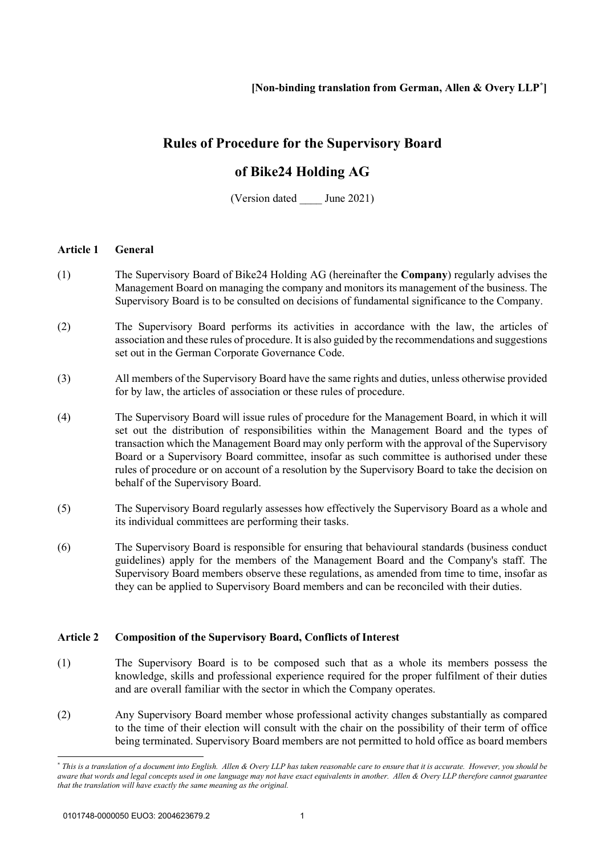# **Rules of Procedure for the Supervisory Board**

## **of Bike24 Holding AG**

(Version dated June 2021)

### **Article 1 General**

- (1) The Supervisory Board of Bike24 Holding AG (hereinafter the **Company**) regularly advises the Management Board on managing the company and monitors its management of the business. The Supervisory Board is to be consulted on decisions of fundamental significance to the Company.
- (2) The Supervisory Board performs its activities in accordance with the law, the articles of association and these rules of procedure. It is also guided by the recommendations and suggestions set out in the German Corporate Governance Code.
- (3) All members of the Supervisory Board have the same rights and duties, unless otherwise provided for by law, the articles of association or these rules of procedure.
- (4) The Supervisory Board will issue rules of procedure for the Management Board, in which it will set out the distribution of responsibilities within the Management Board and the types of transaction which the Management Board may only perform with the approval of the Supervisory Board or a Supervisory Board committee, insofar as such committee is authorised under these rules of procedure or on account of a resolution by the Supervisory Board to take the decision on behalf of the Supervisory Board.
- (5) The Supervisory Board regularly assesses how effectively the Supervisory Board as a whole and its individual committees are performing their tasks.
- (6) The Supervisory Board is responsible for ensuring that behavioural standards (business conduct guidelines) apply for the members of the Management Board and the Company's staff. The Supervisory Board members observe these regulations, as amended from time to time, insofar as they can be applied to Supervisory Board members and can be reconciled with their duties.

## **Article 2 Composition of the Supervisory Board, Conflicts of Interest**

- (1) The Supervisory Board is to be composed such that as a whole its members possess the knowledge, skills and professional experience required for the proper fulfilment of their duties and are overall familiar with the sector in which the Company operates.
- (2) Any Supervisory Board member whose professional activity changes substantially as compared to the time of their election will consult with the chair on the possibility of their term of office being terminated. Supervisory Board members are not permitted to hold office as board members

<span id="page-0-0"></span><sup>\*</sup> *This is a translation of a document into English. Allen & Overy LLP has taken reasonable care to ensure that it is accurate. However, you should be aware that words and legal concepts used in one language may not have exact equivalents in another. Allen & Overy LLP therefore cannot guarantee that the translation will have exactly the same meaning as the original.*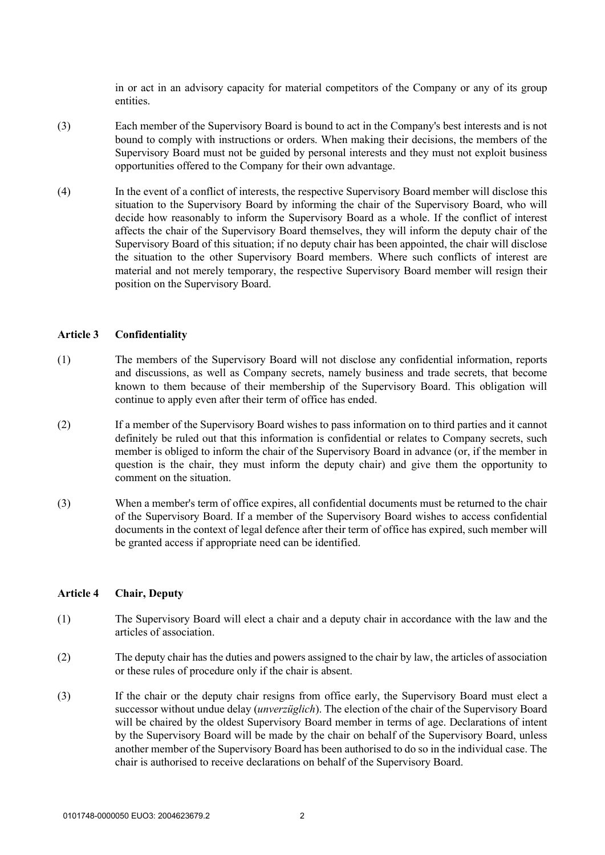in or act in an advisory capacity for material competitors of the Company or any of its group entities.

- (3) Each member of the Supervisory Board is bound to act in the Company's best interests and is not bound to comply with instructions or orders. When making their decisions, the members of the Supervisory Board must not be guided by personal interests and they must not exploit business opportunities offered to the Company for their own advantage.
- (4) In the event of a conflict of interests, the respective Supervisory Board member will disclose this situation to the Supervisory Board by informing the chair of the Supervisory Board, who will decide how reasonably to inform the Supervisory Board as a whole. If the conflict of interest affects the chair of the Supervisory Board themselves, they will inform the deputy chair of the Supervisory Board of this situation; if no deputy chair has been appointed, the chair will disclose the situation to the other Supervisory Board members. Where such conflicts of interest are material and not merely temporary, the respective Supervisory Board member will resign their position on the Supervisory Board.

#### **Article 3 Confidentiality**

- (1) The members of the Supervisory Board will not disclose any confidential information, reports and discussions, as well as Company secrets, namely business and trade secrets, that become known to them because of their membership of the Supervisory Board. This obligation will continue to apply even after their term of office has ended.
- (2) If a member of the Supervisory Board wishes to pass information on to third parties and it cannot definitely be ruled out that this information is confidential or relates to Company secrets, such member is obliged to inform the chair of the Supervisory Board in advance (or, if the member in question is the chair, they must inform the deputy chair) and give them the opportunity to comment on the situation.
- (3) When a member's term of office expires, all confidential documents must be returned to the chair of the Supervisory Board. If a member of the Supervisory Board wishes to access confidential documents in the context of legal defence after their term of office has expired, such member will be granted access if appropriate need can be identified.

### **Article 4 Chair, Deputy**

- (1) The Supervisory Board will elect a chair and a deputy chair in accordance with the law and the articles of association.
- (2) The deputy chair has the duties and powers assigned to the chair by law, the articles of association or these rules of procedure only if the chair is absent.
- (3) If the chair or the deputy chair resigns from office early, the Supervisory Board must elect a successor without undue delay (*unverzüglich*). The election of the chair of the Supervisory Board will be chaired by the oldest Supervisory Board member in terms of age. Declarations of intent by the Supervisory Board will be made by the chair on behalf of the Supervisory Board, unless another member of the Supervisory Board has been authorised to do so in the individual case. The chair is authorised to receive declarations on behalf of the Supervisory Board.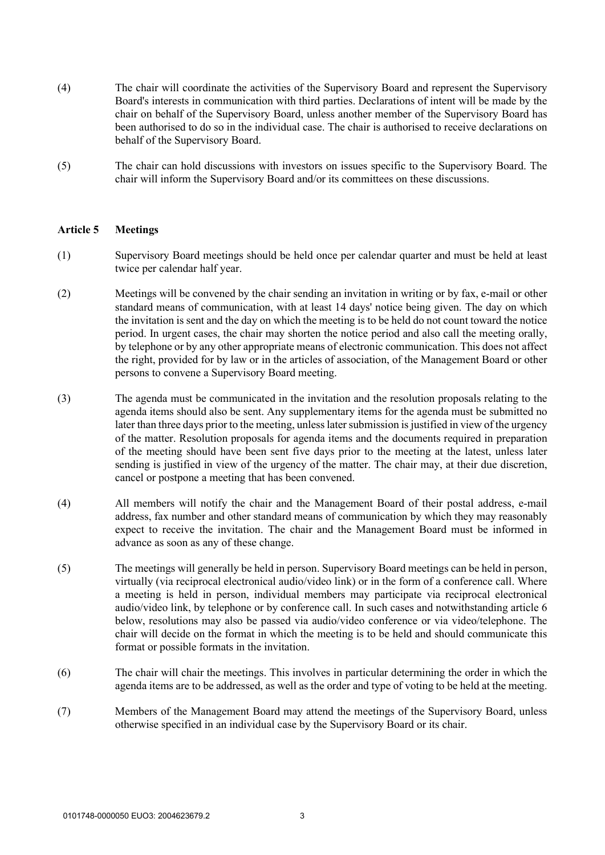- (4) The chair will coordinate the activities of the Supervisory Board and represent the Supervisory Board's interests in communication with third parties. Declarations of intent will be made by the chair on behalf of the Supervisory Board, unless another member of the Supervisory Board has been authorised to do so in the individual case. The chair is authorised to receive declarations on behalf of the Supervisory Board.
- (5) The chair can hold discussions with investors on issues specific to the Supervisory Board. The chair will inform the Supervisory Board and/or its committees on these discussions.

### **Article 5 Meetings**

- (1) Supervisory Board meetings should be held once per calendar quarter and must be held at least twice per calendar half year.
- (2) Meetings will be convened by the chair sending an invitation in writing or by fax, e-mail or other standard means of communication, with at least 14 days' notice being given. The day on which the invitation is sent and the day on which the meeting is to be held do not count toward the notice period. In urgent cases, the chair may shorten the notice period and also call the meeting orally, by telephone or by any other appropriate means of electronic communication. This does not affect the right, provided for by law or in the articles of association, of the Management Board or other persons to convene a Supervisory Board meeting.
- (3) The agenda must be communicated in the invitation and the resolution proposals relating to the agenda items should also be sent. Any supplementary items for the agenda must be submitted no later than three days prior to the meeting, unless later submission is justified in view of the urgency of the matter. Resolution proposals for agenda items and the documents required in preparation of the meeting should have been sent five days prior to the meeting at the latest, unless later sending is justified in view of the urgency of the matter. The chair may, at their due discretion, cancel or postpone a meeting that has been convened.
- (4) All members will notify the chair and the Management Board of their postal address, e-mail address, fax number and other standard means of communication by which they may reasonably expect to receive the invitation. The chair and the Management Board must be informed in advance as soon as any of these change.
- (5) The meetings will generally be held in person. Supervisory Board meetings can be held in person, virtually (via reciprocal electronical audio/video link) or in the form of a conference call. Where a meeting is held in person, individual members may participate via reciprocal electronical audio/video link, by telephone or by conference call. In such cases and notwithstanding article 6 below, resolutions may also be passed via audio/video conference or via video/telephone. The chair will decide on the format in which the meeting is to be held and should communicate this format or possible formats in the invitation.
- (6) The chair will chair the meetings. This involves in particular determining the order in which the agenda items are to be addressed, as well as the order and type of voting to be held at the meeting.
- (7) Members of the Management Board may attend the meetings of the Supervisory Board, unless otherwise specified in an individual case by the Supervisory Board or its chair.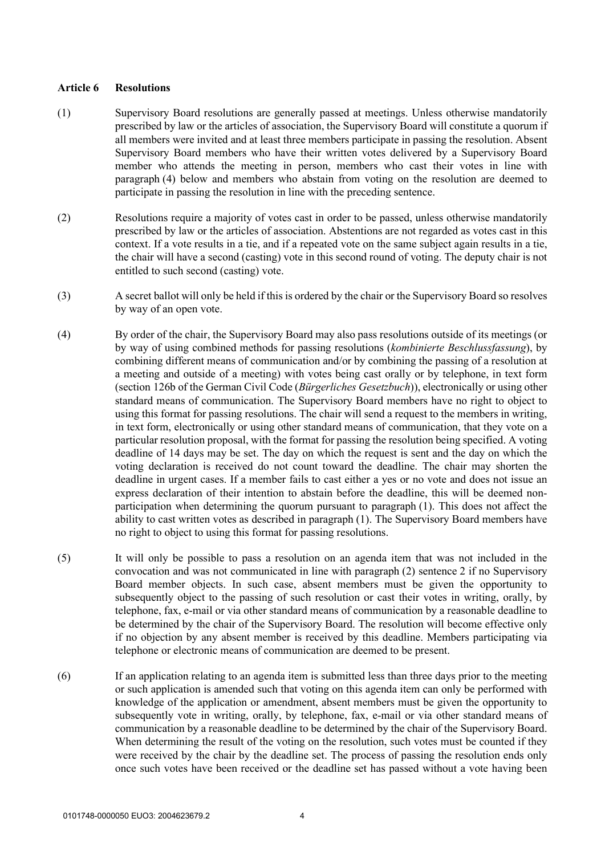### **Article 6 Resolutions**

- (1) Supervisory Board resolutions are generally passed at meetings. Unless otherwise mandatorily prescribed by law or the articles of association, the Supervisory Board will constitute a quorum if all members were invited and at least three members participate in passing the resolution. Absent Supervisory Board members who have their written votes delivered by a Supervisory Board member who attends the meeting in person, members who cast their votes in line with paragraph (4) below and members who abstain from voting on the resolution are deemed to participate in passing the resolution in line with the preceding sentence.
- (2) Resolutions require a majority of votes cast in order to be passed, unless otherwise mandatorily prescribed by law or the articles of association. Abstentions are not regarded as votes cast in this context. If a vote results in a tie, and if a repeated vote on the same subject again results in a tie, the chair will have a second (casting) vote in this second round of voting. The deputy chair is not entitled to such second (casting) vote.
- (3) A secret ballot will only be held if this is ordered by the chair or the Supervisory Board so resolves by way of an open vote.
- (4) By order of the chair, the Supervisory Board may also pass resolutions outside of its meetings (or by way of using combined methods for passing resolutions (*kombinierte Beschlussfassung*), by combining different means of communication and/or by combining the passing of a resolution at a meeting and outside of a meeting) with votes being cast orally or by telephone, in text form (section 126b of the German Civil Code (*Bürgerliches Gesetzbuch*)), electronically or using other standard means of communication. The Supervisory Board members have no right to object to using this format for passing resolutions. The chair will send a request to the members in writing, in text form, electronically or using other standard means of communication, that they vote on a particular resolution proposal, with the format for passing the resolution being specified. A voting deadline of 14 days may be set. The day on which the request is sent and the day on which the voting declaration is received do not count toward the deadline. The chair may shorten the deadline in urgent cases. If a member fails to cast either a yes or no vote and does not issue an express declaration of their intention to abstain before the deadline, this will be deemed nonparticipation when determining the quorum pursuant to paragraph (1). This does not affect the ability to cast written votes as described in paragraph (1). The Supervisory Board members have no right to object to using this format for passing resolutions.
- (5) It will only be possible to pass a resolution on an agenda item that was not included in the convocation and was not communicated in line with paragraph (2) sentence 2 if no Supervisory Board member objects. In such case, absent members must be given the opportunity to subsequently object to the passing of such resolution or cast their votes in writing, orally, by telephone, fax, e-mail or via other standard means of communication by a reasonable deadline to be determined by the chair of the Supervisory Board. The resolution will become effective only if no objection by any absent member is received by this deadline. Members participating via telephone or electronic means of communication are deemed to be present.
- (6) If an application relating to an agenda item is submitted less than three days prior to the meeting or such application is amended such that voting on this agenda item can only be performed with knowledge of the application or amendment, absent members must be given the opportunity to subsequently vote in writing, orally, by telephone, fax, e-mail or via other standard means of communication by a reasonable deadline to be determined by the chair of the Supervisory Board. When determining the result of the voting on the resolution, such votes must be counted if they were received by the chair by the deadline set. The process of passing the resolution ends only once such votes have been received or the deadline set has passed without a vote having been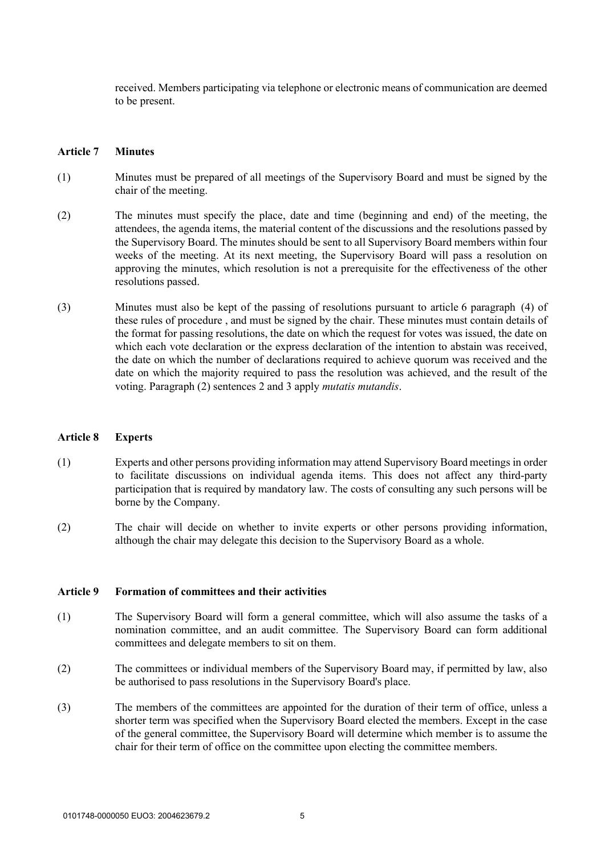received. Members participating via telephone or electronic means of communication are deemed to be present.

#### **Article 7 Minutes**

- (1) Minutes must be prepared of all meetings of the Supervisory Board and must be signed by the chair of the meeting.
- (2) The minutes must specify the place, date and time (beginning and end) of the meeting, the attendees, the agenda items, the material content of the discussions and the resolutions passed by the Supervisory Board. The minutes should be sent to all Supervisory Board members within four weeks of the meeting. At its next meeting, the Supervisory Board will pass a resolution on approving the minutes, which resolution is not a prerequisite for the effectiveness of the other resolutions passed.
- (3) Minutes must also be kept of the passing of resolutions pursuant to article 6 paragraph (4) of these rules of procedure , and must be signed by the chair. These minutes must contain details of the format for passing resolutions, the date on which the request for votes was issued, the date on which each vote declaration or the express declaration of the intention to abstain was received, the date on which the number of declarations required to achieve quorum was received and the date on which the majority required to pass the resolution was achieved, and the result of the voting. Paragraph (2) sentences 2 and 3 apply *mutatis mutandis*.

#### **Article 8 Experts**

- (1) Experts and other persons providing information may attend Supervisory Board meetings in order to facilitate discussions on individual agenda items. This does not affect any third-party participation that is required by mandatory law. The costs of consulting any such persons will be borne by the Company.
- (2) The chair will decide on whether to invite experts or other persons providing information, although the chair may delegate this decision to the Supervisory Board as a whole.

#### **Article 9 Formation of committees and their activities**

- (1) The Supervisory Board will form a general committee, which will also assume the tasks of a nomination committee, and an audit committee. The Supervisory Board can form additional committees and delegate members to sit on them.
- (2) The committees or individual members of the Supervisory Board may, if permitted by law, also be authorised to pass resolutions in the Supervisory Board's place.
- (3) The members of the committees are appointed for the duration of their term of office, unless a shorter term was specified when the Supervisory Board elected the members. Except in the case of the general committee, the Supervisory Board will determine which member is to assume the chair for their term of office on the committee upon electing the committee members.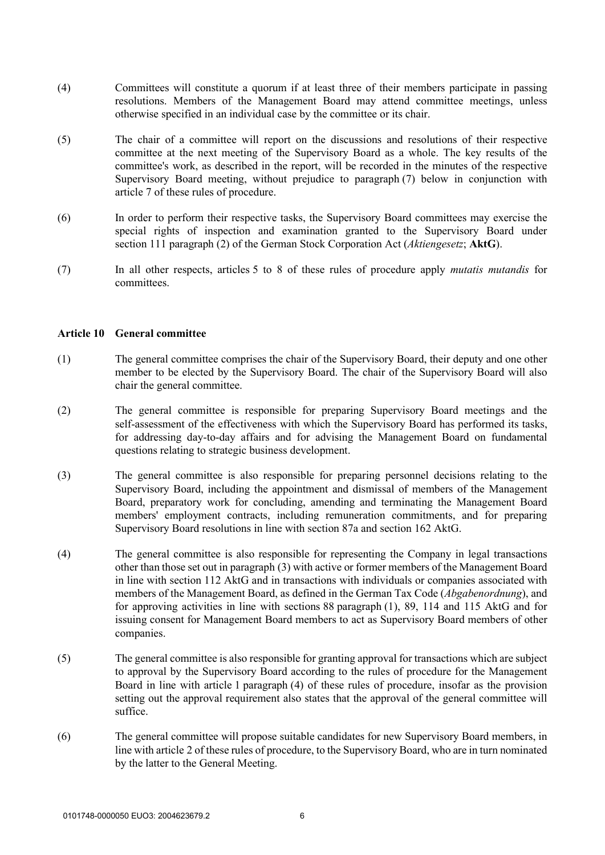- (4) Committees will constitute a quorum if at least three of their members participate in passing resolutions. Members of the Management Board may attend committee meetings, unless otherwise specified in an individual case by the committee or its chair.
- (5) The chair of a committee will report on the discussions and resolutions of their respective committee at the next meeting of the Supervisory Board as a whole. The key results of the committee's work, as described in the report, will be recorded in the minutes of the respective Supervisory Board meeting, without prejudice to paragraph (7) below in conjunction with article 7 of these rules of procedure.
- (6) In order to perform their respective tasks, the Supervisory Board committees may exercise the special rights of inspection and examination granted to the Supervisory Board under section 111 paragraph (2) of the German Stock Corporation Act (*Aktiengesetz*; **AktG**).
- (7) In all other respects, articles 5 to 8 of these rules of procedure apply *mutatis mutandis* for committees.

### **Article 10 General committee**

- (1) The general committee comprises the chair of the Supervisory Board, their deputy and one other member to be elected by the Supervisory Board. The chair of the Supervisory Board will also chair the general committee.
- (2) The general committee is responsible for preparing Supervisory Board meetings and the self-assessment of the effectiveness with which the Supervisory Board has performed its tasks, for addressing day-to-day affairs and for advising the Management Board on fundamental questions relating to strategic business development.
- (3) The general committee is also responsible for preparing personnel decisions relating to the Supervisory Board, including the appointment and dismissal of members of the Management Board, preparatory work for concluding, amending and terminating the Management Board members' employment contracts, including remuneration commitments, and for preparing Supervisory Board resolutions in line with section 87a and section 162 AktG.
- (4) The general committee is also responsible for representing the Company in legal transactions other than those set out in paragraph (3) with active or former members of the Management Board in line with section 112 AktG and in transactions with individuals or companies associated with members of the Management Board, as defined in the German Tax Code (*Abgabenordnung*), and for approving activities in line with sections 88 paragraph (1), 89, 114 and 115 AktG and for issuing consent for Management Board members to act as Supervisory Board members of other companies.
- (5) The general committee is also responsible for granting approval for transactions which are subject to approval by the Supervisory Board according to the rules of procedure for the Management Board in line with article 1 paragraph (4) of these rules of procedure, insofar as the provision setting out the approval requirement also states that the approval of the general committee will suffice.
- (6) The general committee will propose suitable candidates for new Supervisory Board members, in line with article 2 of these rules of procedure, to the Supervisory Board, who are in turn nominated by the latter to the General Meeting.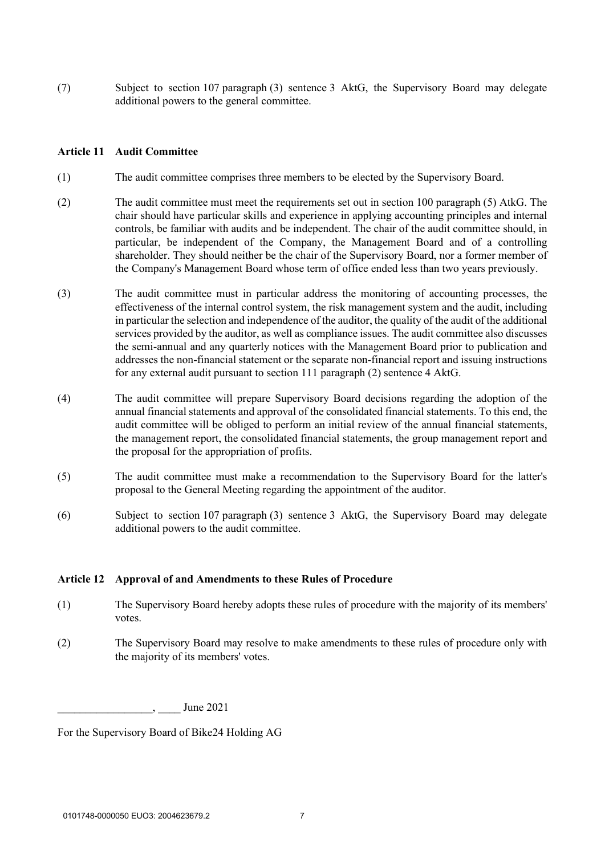(7) Subject to section 107 paragraph (3) sentence 3 AktG, the Supervisory Board may delegate additional powers to the general committee.

### **Article 11 Audit Committee**

- (1) The audit committee comprises three members to be elected by the Supervisory Board.
- (2) The audit committee must meet the requirements set out in section 100 paragraph (5) AtkG. The chair should have particular skills and experience in applying accounting principles and internal controls, be familiar with audits and be independent. The chair of the audit committee should, in particular, be independent of the Company, the Management Board and of a controlling shareholder. They should neither be the chair of the Supervisory Board, nor a former member of the Company's Management Board whose term of office ended less than two years previously.
- (3) The audit committee must in particular address the monitoring of accounting processes, the effectiveness of the internal control system, the risk management system and the audit, including in particular the selection and independence of the auditor, the quality of the audit of the additional services provided by the auditor, as well as compliance issues. The audit committee also discusses the semi-annual and any quarterly notices with the Management Board prior to publication and addresses the non-financial statement or the separate non-financial report and issuing instructions for any external audit pursuant to section 111 paragraph (2) sentence 4 AktG.
- (4) The audit committee will prepare Supervisory Board decisions regarding the adoption of the annual financial statements and approval of the consolidated financial statements. To this end, the audit committee will be obliged to perform an initial review of the annual financial statements, the management report, the consolidated financial statements, the group management report and the proposal for the appropriation of profits.
- (5) The audit committee must make a recommendation to the Supervisory Board for the latter's proposal to the General Meeting regarding the appointment of the auditor.
- (6) Subject to section 107 paragraph (3) sentence 3 AktG, the Supervisory Board may delegate additional powers to the audit committee.

#### **Article 12 Approval of and Amendments to these Rules of Procedure**

- (1) The Supervisory Board hereby adopts these rules of procedure with the majority of its members' votes.
- (2) The Supervisory Board may resolve to make amendments to these rules of procedure only with the majority of its members' votes.

\_\_\_\_\_\_\_\_\_\_\_\_\_\_\_\_\_, \_\_\_\_ June 2021

For the Supervisory Board of Bike24 Holding AG